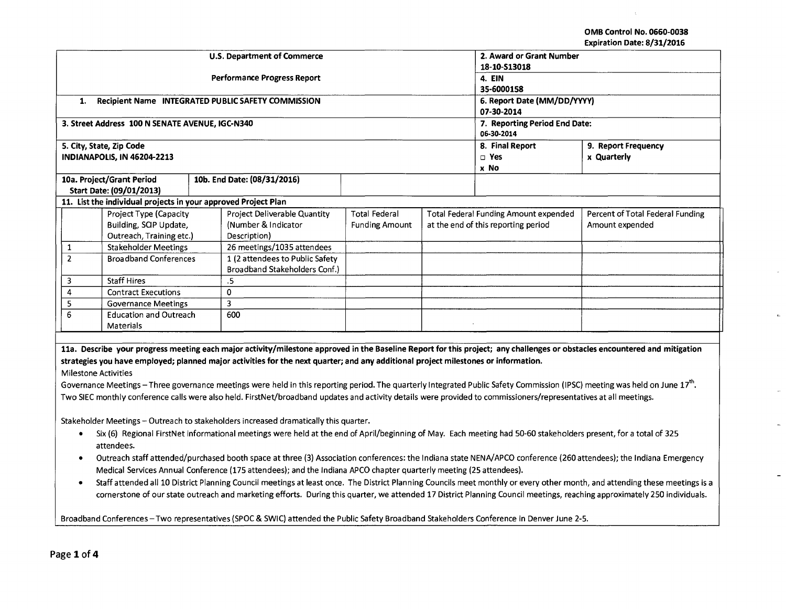OMB Control No. 0660-0038 Expiration Date: 8/31/2016

 $\pm$ 

-

 $\omega$ 

 $\mathbf{r}$ 

 $\overline{a}$ 

 $\sim$ 

 $\overline{\phantom{0}}$ 

|                                                          |                                                                |  | <b>U.S. Department of Commerce</b>                                                                                                                                                       |                       | 2. Award or Grant Number              | LADII ation Date. 0/31/2010                                                                                                                                                 |  |
|----------------------------------------------------------|----------------------------------------------------------------|--|------------------------------------------------------------------------------------------------------------------------------------------------------------------------------------------|-----------------------|---------------------------------------|-----------------------------------------------------------------------------------------------------------------------------------------------------------------------------|--|
|                                                          |                                                                |  |                                                                                                                                                                                          |                       | 18-10-513018                          |                                                                                                                                                                             |  |
|                                                          |                                                                |  | <b>Performance Progress Report</b>                                                                                                                                                       |                       | 4. EIN                                |                                                                                                                                                                             |  |
|                                                          |                                                                |  |                                                                                                                                                                                          |                       | 35-6000158                            |                                                                                                                                                                             |  |
| Recipient Name INTEGRATED PUBLIC SAFETY COMMISSION<br>1. |                                                                |  |                                                                                                                                                                                          |                       | 6. Report Date (MM/DD/YYYY)           |                                                                                                                                                                             |  |
|                                                          |                                                                |  |                                                                                                                                                                                          |                       | 07-30-2014                            |                                                                                                                                                                             |  |
|                                                          | 3. Street Address 100 N SENATE AVENUE, IGC-N340                |  |                                                                                                                                                                                          |                       | 7. Reporting Period End Date:         |                                                                                                                                                                             |  |
|                                                          |                                                                |  |                                                                                                                                                                                          |                       | 06-30-2014                            |                                                                                                                                                                             |  |
|                                                          | 5. City, State, Zip Code                                       |  |                                                                                                                                                                                          |                       | 8. Final Report                       | 9. Report Frequency                                                                                                                                                         |  |
|                                                          | INDIANAPOLIS, IN 46204-2213                                    |  |                                                                                                                                                                                          |                       | □ Yes                                 | x Quarterly                                                                                                                                                                 |  |
|                                                          |                                                                |  |                                                                                                                                                                                          |                       | x No                                  |                                                                                                                                                                             |  |
|                                                          | 10a. Project/Grant Period                                      |  | 10b. End Date: (08/31/2016)                                                                                                                                                              |                       |                                       |                                                                                                                                                                             |  |
|                                                          | Start Date: (09/01/2013)                                       |  |                                                                                                                                                                                          |                       |                                       |                                                                                                                                                                             |  |
|                                                          | 11. List the individual projects in your approved Project Plan |  |                                                                                                                                                                                          |                       |                                       |                                                                                                                                                                             |  |
|                                                          | Project Type (Capacity                                         |  | Project Deliverable Quantity                                                                                                                                                             | <b>Total Federal</b>  | Total Federal Funding Amount expended | Percent of Total Federal Funding                                                                                                                                            |  |
|                                                          | Building, SCIP Update,                                         |  | (Number & Indicator                                                                                                                                                                      | <b>Funding Amount</b> | at the end of this reporting period   | Amount expended                                                                                                                                                             |  |
|                                                          | Outreach, Training etc.)                                       |  | Description)                                                                                                                                                                             |                       |                                       |                                                                                                                                                                             |  |
| 1                                                        | <b>Stakeholder Meetings</b>                                    |  | 26 meetings/1035 attendees                                                                                                                                                               |                       |                                       |                                                                                                                                                                             |  |
| $\overline{2}$                                           | <b>Broadband Conferences</b>                                   |  | 1 (2 attendees to Public Safety                                                                                                                                                          |                       |                                       |                                                                                                                                                                             |  |
|                                                          |                                                                |  | Broadband Stakeholders Conf.)                                                                                                                                                            |                       |                                       |                                                                                                                                                                             |  |
| 3                                                        | <b>Staff Hires</b>                                             |  | $.5\,$                                                                                                                                                                                   |                       |                                       |                                                                                                                                                                             |  |
| 4                                                        | <b>Contract Executions</b>                                     |  | $\Omega$                                                                                                                                                                                 |                       |                                       |                                                                                                                                                                             |  |
| 5                                                        | <b>Governance Meetings</b>                                     |  | $\overline{\mathbf{3}}$                                                                                                                                                                  |                       |                                       |                                                                                                                                                                             |  |
| 6                                                        | <b>Education and Outreach</b>                                  |  | 600                                                                                                                                                                                      |                       |                                       |                                                                                                                                                                             |  |
|                                                          | <b>Materials</b>                                               |  |                                                                                                                                                                                          |                       |                                       |                                                                                                                                                                             |  |
|                                                          |                                                                |  |                                                                                                                                                                                          |                       |                                       |                                                                                                                                                                             |  |
|                                                          |                                                                |  | 11a. Describe your progress meeting each major activity/milestone approved in the Baseline Report for this project; any challenges or obstacles encountered and mitigation               |                       |                                       |                                                                                                                                                                             |  |
|                                                          |                                                                |  | strategies you have employed; planned major activities for the next quarter; and any additional project milestones or information.                                                       |                       |                                       |                                                                                                                                                                             |  |
| <b>Milestone Activities</b>                              |                                                                |  |                                                                                                                                                                                          |                       |                                       |                                                                                                                                                                             |  |
|                                                          |                                                                |  | Governance Meetings – Three governance meetings were held in this reporting period. The quarterly Integrated Public Safety Commission (IPSC) meeting was held on June 17 <sup>th</sup> . |                       |                                       |                                                                                                                                                                             |  |
|                                                          |                                                                |  | Two SIEC monthly conference calls were also held. FirstNet/broadband updates and activity details were provided to commissioners/representatives at all meetings.                        |                       |                                       |                                                                                                                                                                             |  |
|                                                          |                                                                |  |                                                                                                                                                                                          |                       |                                       |                                                                                                                                                                             |  |
|                                                          |                                                                |  | Stakeholder Meetings - Outreach to stakeholders increased dramatically this quarter.                                                                                                     |                       |                                       |                                                                                                                                                                             |  |
|                                                          |                                                                |  | Six (6) Regional FirstNet informational meetings were held at the end of April/beginning of May. Each meeting had 50-60 stakeholders present, for a total of 325                         |                       |                                       |                                                                                                                                                                             |  |
|                                                          | attendees.                                                     |  |                                                                                                                                                                                          |                       |                                       |                                                                                                                                                                             |  |
| ٠                                                        |                                                                |  |                                                                                                                                                                                          |                       |                                       | Outreach staff attended/purchased booth space at three (3) Association conferences: the Indiana state NENA/APCO conference (260 attendees); the Indiana Emergency           |  |
|                                                          |                                                                |  | Medical Services Annual Conference (175 attendees); and the Indiana APCO chapter quarterly meeting (25 attendees).                                                                       |                       |                                       |                                                                                                                                                                             |  |
| ٠                                                        |                                                                |  |                                                                                                                                                                                          |                       |                                       | Staff attended all 10 District Planning Council meetings at least once. The District Planning Councils meet monthly or every other month, and attending these meetings is a |  |
|                                                          |                                                                |  |                                                                                                                                                                                          |                       |                                       | cornerstone of our state outreach and marketing efforts. During this quarter, we attended 17 District Planning Council meetings, reaching approximately 250 individuals.    |  |
|                                                          |                                                                |  |                                                                                                                                                                                          |                       |                                       |                                                                                                                                                                             |  |

Broadband Conferences- Two representatives (SPOC & SWIC) attended the Public Safety Broadband Stakeholders Conference in Denver June 2-5.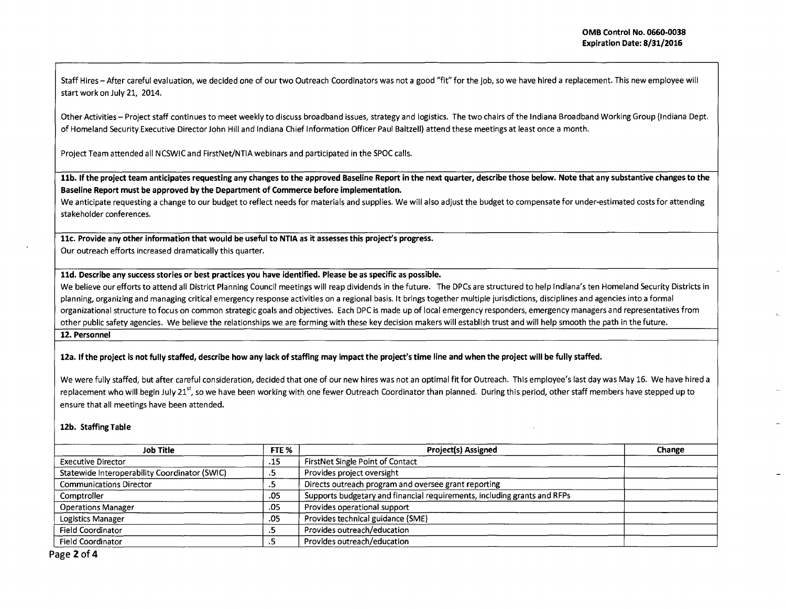Staff Hires- After careful evaluation, we decided one of our two Outreach Coordinators was not a good "fit" for the job, so we have hired a replacement. This new employee will start work on July 21, 2014.

Other Activities- Project staff continues to meet weekly to discuss broadband issues, strategy and logistics. The two chairs of the Indiana Broadband Working Group (Indiana Dept. of Homeland Security Executive Director John Hill and Indiana Chief Information Officer Paul Baltzell) attend these meetings at least once a month.

Project Team attended all NCSWIC and FirstNet/NTIA webinars and participated in the SPOC calls.

**11b. If the project team anticipates requesting any changes to the approved Baseline Report in the next quarter, describe those below. Note that any substantive changes to the Baseline Report must be approved by the Department of Commerce before implementation.** 

We anticipate requesting a change to our budget to reflect needs for materials and supplies. We will also adjust the budget to compensate for under-estimated costs for attending stakeholder conferences.

**llc. Provide any other information that would be useful to NTIA as it assesses this project's progress.**  Our outreach efforts increased dramatically this quarter.

## **lld. Describe any success stories or best practices you have identified. Please be as specific as possible.**

We believe our efforts to attend all District Planning Council meetings will reap dividends in the future. The DPCs are structured to help Indiana's ten Homeland Security Districts in planning, organizing and managing critical emergency response activities on a regional basis. It brings together multiple jurisdictions, disciplines and agencies into a formal organizational structure to focus on common strategic goals and objectives. Each DPC is made up of local emergency responders, emergency managers and representatives from other public safety agencies. We believe the relationships we are forming with these key decision makers will establish trust and will help smooth the path in the future. **12. Personnel** 

**12a. If the project is not fully staffed, describe how any lack of staffing may impact the project's time line and when the project will be fully staffed.** 

We were fully staffed, but after careful consideration, decided that one of our new hires was not an optimal fit for Outreach. This employee's last day was May 16. We have hired a replacement who will begin July 21<sup>st</sup>, so we have been working with one fewer Outreach Coordinator than planned. During this period, other staff members have stepped up to ensure that all meetings have been attended.

## **12b. Staffing Table**

| Job Title                                     | FTE %                    | <b>Project(s) Assigned</b>                                               | Change |
|-----------------------------------------------|--------------------------|--------------------------------------------------------------------------|--------|
| <b>Executive Director</b>                     | .15                      | FirstNet Single Point of Contact                                         |        |
| Statewide Interoperability Coordinator (SWIC) |                          | Provides project oversight                                               |        |
| <b>Communications Director</b>                |                          | Directs outreach program and oversee grant reporting                     |        |
| Comptroller                                   | .05                      | Supports budgetary and financial requirements, including grants and RFPs |        |
| <b>Operations Manager</b>                     | .05                      | Provides operational support                                             |        |
| Logistics Manager                             | .05                      | Provides technical guidance (SME)                                        |        |
| <b>Field Coordinator</b>                      | $\overline{\phantom{a}}$ | Provides outreach/education                                              |        |
| <b>Field Coordinator</b>                      |                          | Provides outreach/education                                              |        |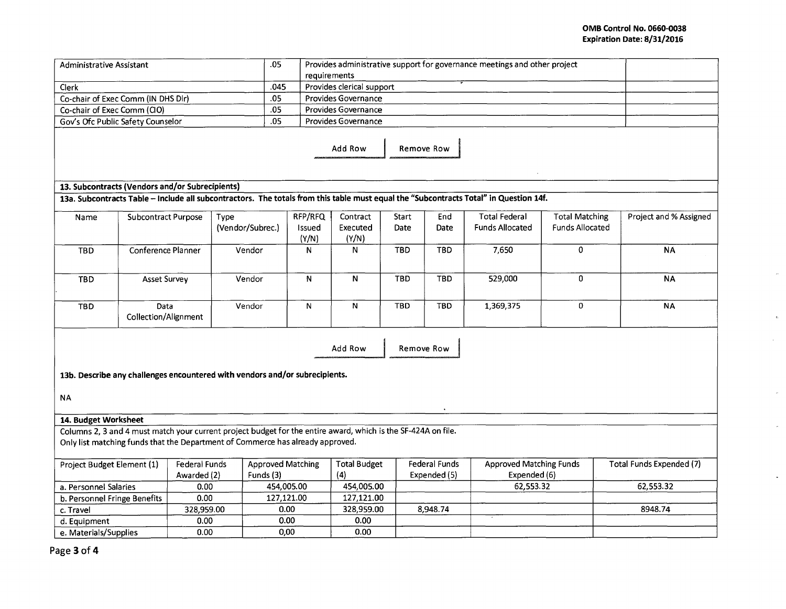## **OMB Control No. 0660-0038 Expiration Date: 8/31/2016**

 $\bar{\psi}$ 

 $\bar{\mathbf{r}}$ 

 $\sim$ 

 $\omega$ 

 $\bar{z}$ 

 $\Box$ 

| requirements<br>.045<br>Provides clerical support<br>Clerk<br>Co-chair of Exec Comm (IN DHS Dir)<br>.05<br>Provides Governance<br>Co-chair of Exec Comm (CIO)<br>.05<br>Provides Governance                                 |                          |
|-----------------------------------------------------------------------------------------------------------------------------------------------------------------------------------------------------------------------------|--------------------------|
|                                                                                                                                                                                                                             |                          |
|                                                                                                                                                                                                                             |                          |
|                                                                                                                                                                                                                             |                          |
| .05<br>Provides Governance<br>Gov's Ofc Public Safety Counselor                                                                                                                                                             |                          |
| Add Row<br>Remove Row                                                                                                                                                                                                       |                          |
| 13. Subcontracts (Vendors and/or Subrecipients)                                                                                                                                                                             |                          |
| 13a. Subcontracts Table - Include all subcontractors. The totals from this table must equal the "Subcontracts Total" in Question 14f.                                                                                       |                          |
| RFP/RFQ<br><b>Total Federal</b><br>Contract<br>Start<br>End<br><b>Total Matching</b><br>Subcontract Purpose<br>Type<br>Name                                                                                                 | Project and % Assigned   |
| (Vendor/Subrec.)<br>Executed<br>Date<br>Date<br><b>Funds Allocated</b><br><b>Funds Allocated</b><br>Issued<br>(Y/N)<br>(Y/N)                                                                                                |                          |
| <b>TBD</b><br>7,650<br>0<br>Conference Planner<br>Vendor<br>N<br><b>TBD</b><br><b>TBD</b><br>N                                                                                                                              | <b>NA</b>                |
| $\mathbf 0$<br>${\sf N}$<br>Vendor<br>N<br><b>TBD</b><br><b>TBD</b><br>529,000<br><b>TBD</b><br><b>Asset Survey</b>                                                                                                         | <b>NA</b>                |
| N<br><b>TBD</b><br><b>TBD</b><br>$\mathbf 0$<br>Vendor<br>${\sf N}$<br>1,369,375<br>Data<br><b>TBD</b><br>Collection/Alignment                                                                                              | <b>NA</b>                |
| Add Row<br><b>Remove Row</b>                                                                                                                                                                                                |                          |
| 13b. Describe any challenges encountered with vendors and/or subrecipients.                                                                                                                                                 |                          |
| <b>NA</b>                                                                                                                                                                                                                   |                          |
| 14. Budget Worksheet                                                                                                                                                                                                        |                          |
| Columns 2, 3 and 4 must match your current project budget for the entire award, which is the SF-424A on file.                                                                                                               |                          |
| Only list matching funds that the Department of Commerce has already approved.                                                                                                                                              |                          |
| Federal Funds<br><b>Approved Matching Funds</b><br>Project Budget Element (1)<br><b>Federal Funds</b><br><b>Approved Matching</b><br><b>Total Budget</b><br>Funds (3)<br>(4)<br>Expended (5)<br>Expended (6)<br>Awarded (2) | Total Funds Expended (7) |
| 454,005.00<br>454,005.00<br>62,553.32<br>a. Personnel Salaries<br>0.00                                                                                                                                                      | 62,553.32                |
| 0.00<br>127,121.00<br>127,121.00<br>b. Personnel Fringe Benefits                                                                                                                                                            |                          |
| 328,959.00<br>328,959.00<br>0.00<br>8,948.74<br>c. Travel                                                                                                                                                                   | 8948.74                  |
| 0.00<br>0.00<br>0.00<br>d. Equipment                                                                                                                                                                                        |                          |
| 0.00<br>0.00<br>e. Materials/Supplies<br>0.00                                                                                                                                                                               |                          |

Page **3 of4**